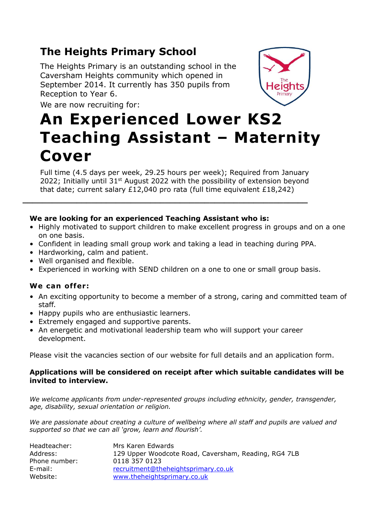## **The Heights Primary School**

The Heights Primary is an outstanding school in the Caversham Heights community which opened in September 2014. It currently has 350 pupils from Reception to Year 6.



# We are now recruiting for: **An Experienced Lower KS2 Teaching Assistant – Maternity Cover**

Full time (4.5 days per week, 29.25 hours per week); Required from January 2022; Initially until 31<sup>st</sup> August 2022 with the possibility of extension beyond that date; current salary £12,040 pro rata (full time equivalent £18,242)

**\_\_\_\_\_\_\_\_\_\_\_\_\_\_\_\_\_\_\_\_\_\_\_\_\_\_\_\_\_\_\_\_\_\_\_\_\_\_\_\_\_\_\_\_\_\_\_\_\_\_\_\_\_\_\_\_\_\_**

#### **We are looking for an experienced Teaching Assistant who is:**

- Highly motivated to support children to make excellent progress in groups and on a one on one basis.
- Confident in leading small group work and taking a lead in teaching during PPA.
- Hardworking, calm and patient.
- Well organised and flexible.
- Experienced in working with SEND children on a one to one or small group basis.

### **We can offer:**

- An exciting opportunity to become a member of a strong, caring and committed team of staff.
- Happy pupils who are enthusiastic learners.
- Extremely engaged and supportive parents.
- An energetic and motivational leadership team who will support your career development.

Please visit the vacancies section of our website for full details and an application form.

#### **Applications will be considered on receipt after which suitable candidates will be invited to interview.**

*We welcome applicants from under-represented groups including ethnicity, gender, transgender, age, disability, sexual orientation or religion.*

*We are passionate about creating a culture of wellbeing where all staff and pupils are valued and supported so that we can all 'grow, learn and flourish'.*

| Headteacher:  | Mrs Karen Edwards                                    |
|---------------|------------------------------------------------------|
| Address:      | 129 Upper Woodcote Road, Caversham, Reading, RG4 7LB |
| Phone number: | 0118 357 0123                                        |
| E-mail:       | recruitment@theheightsprimary.co.uk                  |
| Website:      | www.theheightsprimary.co.uk                          |